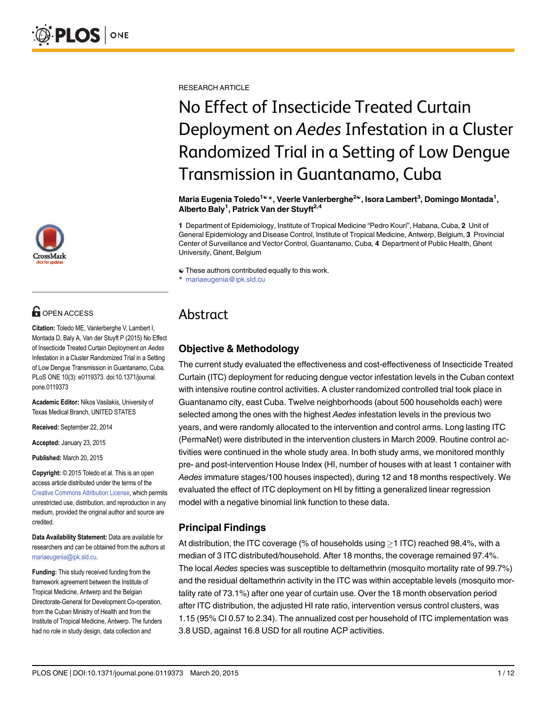

# **OPEN ACCESS**

Citation: Toledo ME, Vanlerberghe V, Lambert I, Montada D, Baly A, Van der Stuyft P (2015) No Effect of Insecticide Treated Curtain Deployment on Aedes Infestation in a Cluster Randomized Trial in a Setting of Low Dengue Transmission in Guantanamo, Cuba. PLoS ONE 10(3): e0119373. doi:10.1371/journal. pone.0119373

Academic Editor: Nikos Vasilakis, University of Texas Medical Branch, UNITED STATES

Received: September 22, 2014

Accepted: January 23, 2015

Published: March 20, 2015

Copyright: © 2015 Toledo et al. This is an open access article distributed under the terms of the [Creative Commons Attribution License,](http://creativecommons.org/licenses/by/4.0/) which permits unrestricted use, distribution, and reproduction in any medium, provided the original author and source are credited.

Data Availability Statement: Data are available for researchers and can be obtained from the authors at mariaeugenia@ipk.sld.cu.

Funding: This study received funding from the framework agreement between the Institute of Tropical Medicine, Antwerp and the Belgian Directorate-General for Development Co-operation, from the Cuban Ministry of Health and from the Institute of Tropical Medicine, Antwerp. The funders had no role in study design, data collection and

RESEARCH ARTICLE

# No Effect of Insecticide Treated Curtain Deployment on Aedes Infestation in a Cluster Randomized Trial in a Setting of Low Dengue Transmission in Guantanamo, Cuba

Maria Eugenia Toledo<sup>1ଢ</sup>\*, Veerle Vanlerberghe<sup>2ଢ</sup>, Isora Lambert<sup>3</sup>, Domingo Montada<sup>1</sup>, Alberto Baly<sup>1</sup>, Patrick Van der Stuyft<sup>2,4</sup>

1 Department of Epidemiology, Institute of Tropical Medicine "Pedro Kourí", Habana, Cuba, 2 Unit of General Epidemiology and Disease Control, Institute of Tropical Medicine, Antwerp, Belgium, 3 Provincial Center of Surveillance and Vector Control, Guantanamo, Cuba, 4 Department of Public Health, Ghent University, Ghent, Belgium

☯ These authors contributed equally to this work.

# Abstract

# Objective & Methodology

The current study evaluated the effectiveness and cost-effectiveness of Insecticide Treated Curtain (ITC) deployment for reducing dengue vector infestation levels in the Cuban context with intensive routine control activities. A cluster randomized controlled trial took place in Guantanamo city, east Cuba. Twelve neighborhoods (about 500 households each) were selected among the ones with the highest Aedes infestation levels in the previous two years, and were randomly allocated to the intervention and control arms. Long lasting ITC (PermaNet) were distributed in the intervention clusters in March 2009. Routine control activities were continued in the whole study area. In both study arms, we monitored monthly pre- and post-intervention House Index (HI, number of houses with at least 1 container with Aedes immature stages/100 houses inspected), during 12 and 18 months respectively. We evaluated the effect of ITC deployment on HI by fitting a generalized linear regression model with a negative binomial link function to these data.

# Principal Findings

At distribution, the ITC coverage (% of households using  $\geq$  1 ITC) reached 98.4%, with a median of 3 ITC distributed/household. After 18 months, the coverage remained 97.4%. The local Aedes species was susceptible to deltamethrin (mosquito mortality rate of 99.7%) and the residual deltamethrin activity in the ITC was within acceptable levels (mosquito mortality rate of 73.1%) after one year of curtain use. Over the 18 month observation period after ITC distribution, the adjusted HI rate ratio, intervention versus control clusters, was 1.15 (95% CI 0.57 to 2.34). The annualized cost per household of ITC implementation was 3.8 USD, against 16.8 USD for all routine ACP activities.

<sup>\*</sup> mariaeugenia@ipk.sld.cu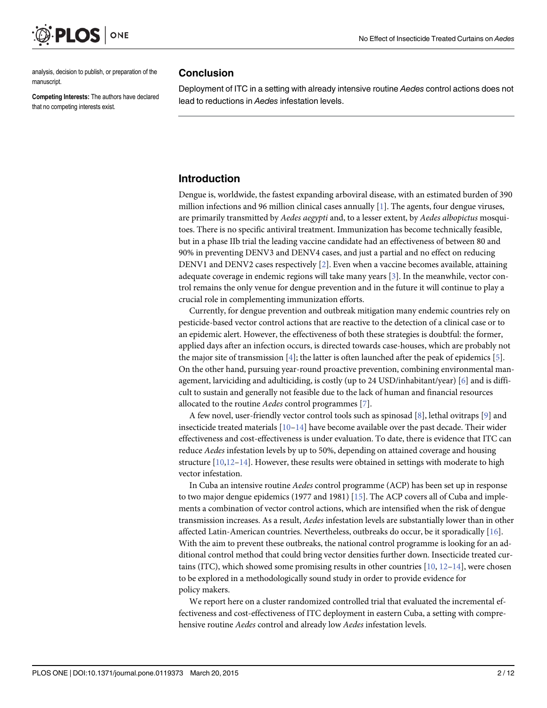<span id="page-1-0"></span>

analysis, decision to publish, or preparation of the manuscript.

Competing Interests: The authors have declared that no competing interests exist.

#### Conclusion

Deployment of ITC in a setting with already intensive routine Aedes control actions does not lead to reductions in Aedes infestation levels.

# Introduction

Dengue is, worldwide, the fastest expanding arboviral disease, with an estimated burden of 390 million infections and 96 million clinical cases annually  $[1]$ . The agents, four dengue viruses, are primarily transmitted by Aedes aegypti and, to a lesser extent, by Aedes albopictus mosquitoes. There is no specific antiviral treatment. Immunization has become technically feasible, but in a phase IIb trial the leading vaccine candidate had an effectiveness of between 80 and 90% in preventing DENV3 and DENV4 cases, and just a partial and no effect on reducing DENV1 and DENV2 cases respectively [\[2\]](#page-9-0). Even when a vaccine becomes available, attaining adequate coverage in endemic regions will take many years [\[3](#page-9-0)]. In the meanwhile, vector control remains the only venue for dengue prevention and in the future it will continue to play a crucial role in complementing immunization efforts.

Currently, for dengue prevention and outbreak mitigation many endemic countries rely on pesticide-based vector control actions that are reactive to the detection of a clinical case or to an epidemic alert. However, the effectiveness of both these strategies is doubtful: the former, applied days after an infection occurs, is directed towards case-houses, which are probably not the major site of transmission [\[4\]](#page-9-0); the latter is often launched after the peak of epidemics [[5\]](#page-10-0). On the other hand, pursuing year-round proactive prevention, combining environmental management, larviciding and adulticiding, is costly (up to 24 USD/inhabitant/year) [\[6](#page-10-0)] and is difficult to sustain and generally not feasible due to the lack of human and financial resources allocated to the routine Aedes control programmes [\[7\]](#page-10-0).

A few novel, user-friendly vector control tools such as spinosad [\[8](#page-10-0)], lethal ovitraps [[9\]](#page-10-0) and insecticide treated materials [[10](#page-10-0)–[14](#page-10-0)] have become available over the past decade. Their wider effectiveness and cost-effectiveness is under evaluation. To date, there is evidence that ITC can reduce Aedes infestation levels by up to 50%, depending on attained coverage and housing structure  $[10,12-14]$  $[10,12-14]$  $[10,12-14]$  $[10,12-14]$ . However, these results were obtained in settings with moderate to high vector infestation.

In Cuba an intensive routine Aedes control programme (ACP) has been set up in response to two major dengue epidemics (1977 and 1981) [[15](#page-10-0)]. The ACP covers all of Cuba and implements a combination of vector control actions, which are intensified when the risk of dengue transmission increases. As a result, Aedes infestation levels are substantially lower than in other affected Latin-American countries. Nevertheless, outbreaks do occur, be it sporadically [\[16\]](#page-10-0). With the aim to prevent these outbreaks, the national control programme is looking for an additional control method that could bring vector densities further down. Insecticide treated curtains (ITC), which showed some promising results in other countries  $[10, 12-14]$  $[10, 12-14]$  $[10, 12-14]$  $[10, 12-14]$  $[10, 12-14]$  $[10, 12-14]$  $[10, 12-14]$ , were chosen to be explored in a methodologically sound study in order to provide evidence for policy makers.

We report here on a cluster randomized controlled trial that evaluated the incremental effectiveness and cost-effectiveness of ITC deployment in eastern Cuba, a setting with comprehensive routine Aedes control and already low Aedes infestation levels.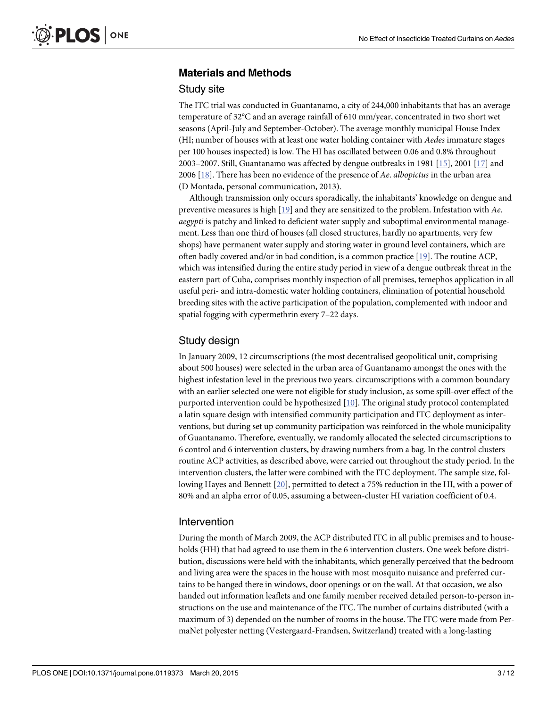# <span id="page-2-0"></span>Materials and Methods

#### Study site

The ITC trial was conducted in Guantanamo, a city of 244,000 inhabitants that has an average temperature of 32°C and an average rainfall of 610 mm/year, concentrated in two short wet seasons (April-July and September-October). The average monthly municipal House Index (HI; number of houses with at least one water holding container with Aedes immature stages per 100 houses inspected) is low. The HI has oscillated between 0.06 and 0.8% throughout 2003–2007. Still, Guantanamo was affected by dengue outbreaks in 1981 [\[15\]](#page-10-0), 2001 [[17](#page-10-0)] and 2006 [[18](#page-10-0)]. There has been no evidence of the presence of Ae. albopictus in the urban area (D Montada, personal communication, 2013).

Although transmission only occurs sporadically, the inhabitants' knowledge on dengue and preventive measures is high  $[19]$  $[19]$  and they are sensitized to the problem. Infestation with Ae. aegypti is patchy and linked to deficient water supply and suboptimal environmental management. Less than one third of houses (all closed structures, hardly no apartments, very few shops) have permanent water supply and storing water in ground level containers, which are often badly covered and/or in bad condition, is a common practice [[19](#page-10-0)]. The routine ACP, which was intensified during the entire study period in view of a dengue outbreak threat in the eastern part of Cuba, comprises monthly inspection of all premises, temephos application in all useful peri- and intra-domestic water holding containers, elimination of potential household breeding sites with the active participation of the population, complemented with indoor and spatial fogging with cypermethrin every 7–22 days.

#### Study design

In January 2009, 12 circumscriptions (the most decentralised geopolitical unit, comprising about 500 houses) were selected in the urban area of Guantanamo amongst the ones with the highest infestation level in the previous two years. circumscriptions with a common boundary with an earlier selected one were not eligible for study inclusion, as some spill-over effect of the purported intervention could be hypothesized [[10](#page-10-0)]. The original study protocol contemplated a latin square design with intensified community participation and ITC deployment as interventions, but during set up community participation was reinforced in the whole municipality of Guantanamo. Therefore, eventually, we randomly allocated the selected circumscriptions to 6 control and 6 intervention clusters, by drawing numbers from a bag. In the control clusters routine ACP activities, as described above, were carried out throughout the study period. In the intervention clusters, the latter were combined with the ITC deployment. The sample size, following Hayes and Bennett [[20](#page-10-0)], permitted to detect a 75% reduction in the HI, with a power of 80% and an alpha error of 0.05, assuming a between-cluster HI variation coefficient of 0.4.

#### Intervention

During the month of March 2009, the ACP distributed ITC in all public premises and to households (HH) that had agreed to use them in the 6 intervention clusters. One week before distribution, discussions were held with the inhabitants, which generally perceived that the bedroom and living area were the spaces in the house with most mosquito nuisance and preferred curtains to be hanged there in windows, door openings or on the wall. At that occasion, we also handed out information leaflets and one family member received detailed person-to-person instructions on the use and maintenance of the ITC. The number of curtains distributed (with a maximum of 3) depended on the number of rooms in the house. The ITC were made from PermaNet polyester netting (Vestergaard-Frandsen, Switzerland) treated with a long-lasting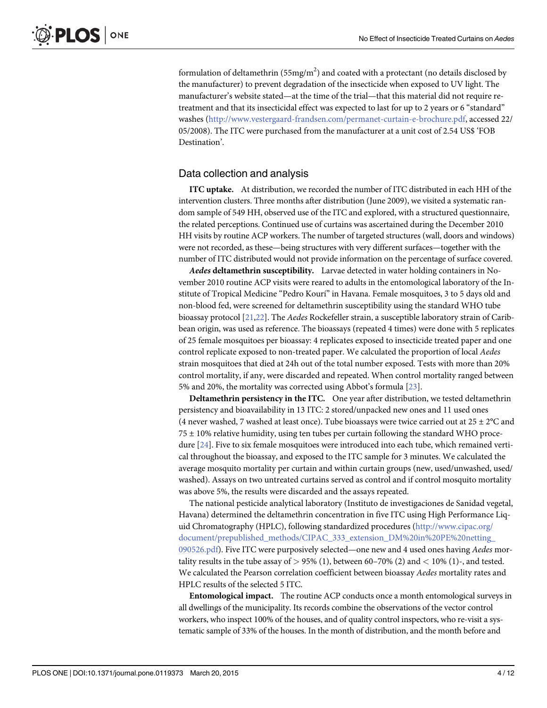<span id="page-3-0"></span>formulation of deltamethrin (55mg/m<sup>2</sup>) and coated with a protectant (no details disclosed by the manufacturer) to prevent degradation of the insecticide when exposed to UV light. The manufacturer's website stated—at the time of the trial—that this material did not require retreatment and that its insecticidal effect was expected to last for up to 2 years or 6 "standard" washes (<http://www.vestergaard-frandsen.com/permanet-curtain-e-brochure.pdf>, accessed 22/ 05/2008). The ITC were purchased from the manufacturer at a unit cost of 2.54 US\$ 'FOB Destination'.

## Data collection and analysis

ITC uptake. At distribution, we recorded the number of ITC distributed in each HH of the intervention clusters. Three months after distribution (June 2009), we visited a systematic random sample of 549 HH, observed use of the ITC and explored, with a structured questionnaire, the related perceptions. Continued use of curtains was ascertained during the December 2010 HH visits by routine ACP workers. The number of targeted structures (wall, doors and windows) were not recorded, as these—being structures with very different surfaces—together with the number of ITC distributed would not provide information on the percentage of surface covered.

Aedes deltamethrin susceptibility. Larvae detected in water holding containers in November 2010 routine ACP visits were reared to adults in the entomological laboratory of the Institute of Tropical Medicine "Pedro Kourí" in Havana. Female mosquitoes, 3 to 5 days old and non-blood fed, were screened for deltamethrin susceptibility using the standard WHO tube bioassay protocol [[21,22\]](#page-10-0). The Aedes Rockefeller strain, a susceptible laboratory strain of Caribbean origin, was used as reference. The bioassays (repeated 4 times) were done with 5 replicates of 25 female mosquitoes per bioassay: 4 replicates exposed to insecticide treated paper and one control replicate exposed to non-treated paper. We calculated the proportion of local Aedes strain mosquitoes that died at 24h out of the total number exposed. Tests with more than 20% control mortality, if any, were discarded and repeated. When control mortality ranged between 5% and 20%, the mortality was corrected using Abbot's formula [[23](#page-10-0)].

Deltamethrin persistency in the ITC. One year after distribution, we tested deltamethrin persistency and bioavailability in 13 ITC: 2 stored/unpacked new ones and 11 used ones (4 never washed, 7 washed at least once). Tube bioassays were twice carried out at  $25 \pm 2^{\circ}$ C and  $75 \pm 10\%$  relative humidity, using ten tubes per curtain following the standard WHO procedure [[24](#page-10-0)]. Five to six female mosquitoes were introduced into each tube, which remained vertical throughout the bioassay, and exposed to the ITC sample for 3 minutes. We calculated the average mosquito mortality per curtain and within curtain groups (new, used/unwashed, used/ washed). Assays on two untreated curtains served as control and if control mosquito mortality was above 5%, the results were discarded and the assays repeated.

The national pesticide analytical laboratory (Instituto de investigaciones de Sanidad vegetal, Havana) determined the deltamethrin concentration in five ITC using High Performance Liquid Chromatography (HPLC), following standardized procedures [\(http://www.cipac.org/](http://www.cipac.org/document/prepublished_methods/CIPAC_333_extension_DM%20in%20PE%20netting_090526.pdf) [document/prepublished\\_methods/CIPAC\\_333\\_extension\\_DM%20in%20PE%20netting\\_](http://www.cipac.org/document/prepublished_methods/CIPAC_333_extension_DM%20in%20PE%20netting_090526.pdf) [090526.pdf](http://www.cipac.org/document/prepublished_methods/CIPAC_333_extension_DM%20in%20PE%20netting_090526.pdf)). Five ITC were purposively selected—one new and 4 used ones having Aedes mortality results in the tube assay of  $> 95\%$  (1), between 60–70% (2) and  $< 10\%$  (1)-, and tested. We calculated the Pearson correlation coefficient between bioassay Aedes mortality rates and HPLC results of the selected 5 ITC.

Entomological impact. The routine ACP conducts once a month entomological surveys in all dwellings of the municipality. Its records combine the observations of the vector control workers, who inspect 100% of the houses, and of quality control inspectors, who re-visit a systematic sample of 33% of the houses. In the month of distribution, and the month before and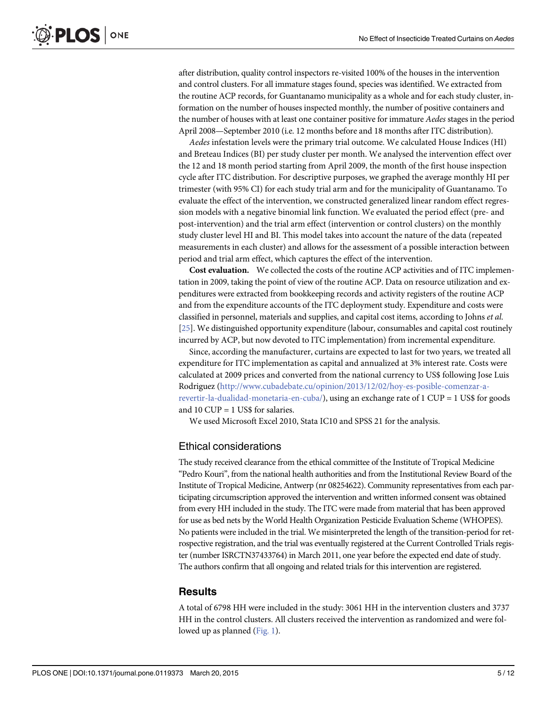<span id="page-4-0"></span>after distribution, quality control inspectors re-visited 100% of the houses in the intervention and control clusters. For all immature stages found, species was identified. We extracted from the routine ACP records, for Guantanamo municipality as a whole and for each study cluster, information on the number of houses inspected monthly, the number of positive containers and the number of houses with at least one container positive for immature Aedes stages in the period April 2008—September 2010 (i.e. 12 months before and 18 months after ITC distribution).

Aedes infestation levels were the primary trial outcome. We calculated House Indices (HI) and Breteau Indices (BI) per study cluster per month. We analysed the intervention effect over the 12 and 18 month period starting from April 2009, the month of the first house inspection cycle after ITC distribution. For descriptive purposes, we graphed the average monthly HI per trimester (with 95% CI) for each study trial arm and for the municipality of Guantanamo. To evaluate the effect of the intervention, we constructed generalized linear random effect regression models with a negative binomial link function. We evaluated the period effect (pre- and post-intervention) and the trial arm effect (intervention or control clusters) on the monthly study cluster level HI and BI. This model takes into account the nature of the data (repeated measurements in each cluster) and allows for the assessment of a possible interaction between period and trial arm effect, which captures the effect of the intervention.

Cost evaluation. We collected the costs of the routine ACP activities and of ITC implementation in 2009, taking the point of view of the routine ACP. Data on resource utilization and expenditures were extracted from bookkeeping records and activity registers of the routine ACP and from the expenditure accounts of the ITC deployment study. Expenditure and costs were classified in personnel, materials and supplies, and capital cost items, according to Johns et al. [\[25\]](#page-10-0). We distinguished opportunity expenditure (labour, consumables and capital cost routinely incurred by ACP, but now devoted to ITC implementation) from incremental expenditure.

Since, according the manufacturer, curtains are expected to last for two years, we treated all expenditure for ITC implementation as capital and annualized at 3% interest rate. Costs were calculated at 2009 prices and converted from the national currency to US\$ following Jose Luis Rodriguez [\(http://www.cubadebate.cu/opinion/2013/12/02/hoy-es-posible-comenzar-a](http://www.cubadebate.cu/opinion/2013/12/02/hoy-es-posible-comenzar-a-revertir-la-dualidad-monetaria-en-cuba/)[revertir-la-dualidad-monetaria-en-cuba/](http://www.cubadebate.cu/opinion/2013/12/02/hoy-es-posible-comenzar-a-revertir-la-dualidad-monetaria-en-cuba/)), using an exchange rate of 1 CUP = 1 US\$ for goods and 10 CUP = 1 US\$ for salaries.

We used Microsoft Excel 2010, Stata IC10 and SPSS 21 for the analysis.

#### Ethical considerations

The study received clearance from the ethical committee of the Institute of Tropical Medicine "Pedro Kouri", from the national health authorities and from the Institutional Review Board of the Institute of Tropical Medicine, Antwerp (nr 08254622). Community representatives from each participating circumscription approved the intervention and written informed consent was obtained from every HH included in the study. The ITC were made from material that has been approved for use as bed nets by the World Health Organization Pesticide Evaluation Scheme (WHOPES). No patients were included in the trial. We misinterpreted the length of the transition-period for retrospective registration, and the trial was eventually registered at the Current Controlled Trials register (number ISRCTN37433764) in March 2011, one year before the expected end date of study. The authors confirm that all ongoing and related trials for this intervention are registered.

#### **Results**

A total of 6798 HH were included in the study: 3061 HH in the intervention clusters and 3737 HH in the control clusters. All clusters received the intervention as randomized and were followed up as planned ([Fig. 1](#page-6-0)).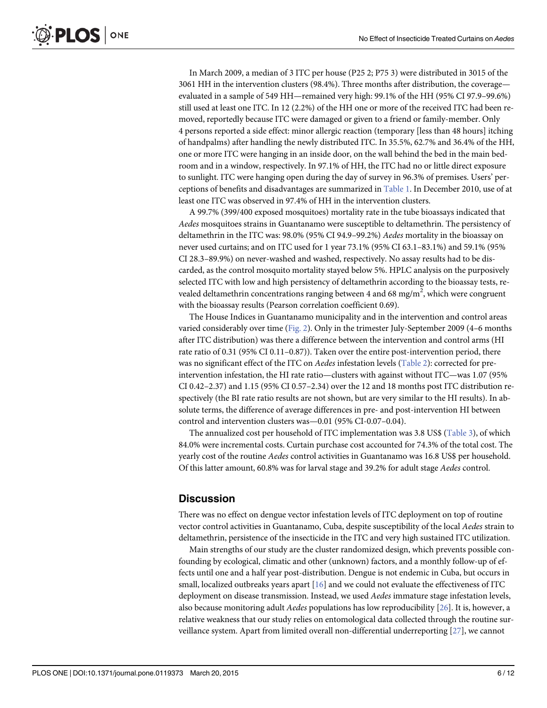<span id="page-5-0"></span>In March 2009, a median of 3 ITC per house (P25 2; P75 3) were distributed in 3015 of the 3061 HH in the intervention clusters (98.4%). Three months after distribution, the coverage evaluated in a sample of 549 HH—remained very high: 99.1% of the HH (95% CI 97.9–99.6%) still used at least one ITC. In 12 (2.2%) of the HH one or more of the received ITC had been removed, reportedly because ITC were damaged or given to a friend or family-member. Only 4 persons reported a side effect: minor allergic reaction (temporary [less than 48 hours] itching of handpalms) after handling the newly distributed ITC. In 35.5%, 62.7% and 36.4% of the HH, one or more ITC were hanging in an inside door, on the wall behind the bed in the main bedroom and in a window, respectively. In 97.1% of HH, the ITC had no or little direct exposure to sunlight. ITC were hanging open during the day of survey in 96.3% of premises. Users' perceptions of benefits and disadvantages are summarized in [Table 1.](#page-7-0) In December 2010, use of at least one ITC was observed in 97.4% of HH in the intervention clusters.

A 99.7% (399/400 exposed mosquitoes) mortality rate in the tube bioassays indicated that Aedes mosquitoes strains in Guantanamo were susceptible to deltamethrin. The persistency of deltamethrin in the ITC was: 98.0% (95% CI 94.9–99.2%) Aedes mortality in the bioassay on never used curtains; and on ITC used for 1 year 73.1% (95% CI 63.1–83.1%) and 59.1% (95% CI 28.3–89.9%) on never-washed and washed, respectively. No assay results had to be discarded, as the control mosquito mortality stayed below 5%. HPLC analysis on the purposively selected ITC with low and high persistency of deltamethrin according to the bioassay tests, revealed deltamethrin concentrations ranging between 4 and 68 mg/m<sup>2</sup>, which were congruent with the bioassay results (Pearson correlation coefficient 0.69).

The House Indices in Guantanamo municipality and in the intervention and control areas varied considerably over time ([Fig. 2](#page-8-0)). Only in the trimester July-September 2009 (4–6 months after ITC distribution) was there a difference between the intervention and control arms (HI rate ratio of 0.31 (95% CI 0.11–0.87)). Taken over the entire post-intervention period, there was no significant effect of the ITC on *Aedes* infestation levels [\(Table 2](#page-8-0)): corrected for preintervention infestation, the HI rate ratio—clusters with against without ITC—was 1.07 (95% CI 0.42–2.37) and 1.15 (95% CI 0.57–2.34) over the 12 and 18 months post ITC distribution respectively (the BI rate ratio results are not shown, but are very similar to the HI results). In absolute terms, the difference of average differences in pre- and post-intervention HI between control and intervention clusters was—0.01 (95% CI-0.07–0.04).

The annualized cost per household of ITC implementation was 3.8 US\$ [\(Table 3](#page-9-0)), of which 84.0% were incremental costs. Curtain purchase cost accounted for 74.3% of the total cost. The yearly cost of the routine Aedes control activities in Guantanamo was 16.8 US\$ per household. Of this latter amount, 60.8% was for larval stage and 39.2% for adult stage Aedes control.

## **Discussion**

There was no effect on dengue vector infestation levels of ITC deployment on top of routine vector control activities in Guantanamo, Cuba, despite susceptibility of the local Aedes strain to deltamethrin, persistence of the insecticide in the ITC and very high sustained ITC utilization.

Main strengths of our study are the cluster randomized design, which prevents possible confounding by ecological, climatic and other (unknown) factors, and a monthly follow-up of effects until one and a half year post-distribution. Dengue is not endemic in Cuba, but occurs in small, localized outbreaks years apart  $[16]$  $[16]$  $[16]$  and we could not evaluate the effectiveness of ITC deployment on disease transmission. Instead, we used Aedes immature stage infestation levels, also because monitoring adult Aedes populations has low reproducibility [\[26\]](#page-11-0). It is, however, a relative weakness that our study relies on entomological data collected through the routine surveillance system. Apart from limited overall non-differential underreporting [[27](#page-11-0)], we cannot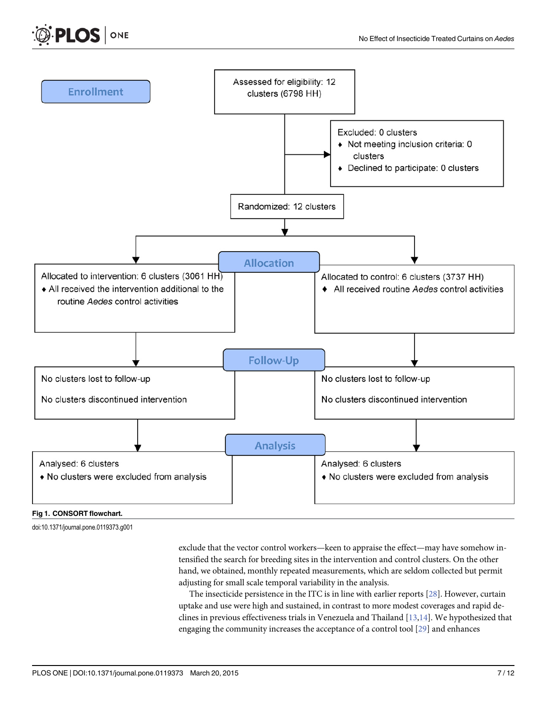

#### [Fig 1. C](#page-4-0)ONSORT flowchart.

doi:10.1371/journal.pone.0119373.g001

<span id="page-6-0"></span>PLOS ONE

exclude that the vector control workers—keen to appraise the effect—may have somehow intensified the search for breeding sites in the intervention and control clusters. On the other hand, we obtained, monthly repeated measurements, which are seldom collected but permit adjusting for small scale temporal variability in the analysis.

The insecticide persistence in the ITC is in line with earlier reports [[28\]](#page-11-0). However, curtain uptake and use were high and sustained, in contrast to more modest coverages and rapid declines in previous effectiveness trials in Venezuela and Thailand  $[13,14]$  $[13,14]$ . We hypothesized that engaging the community increases the acceptance of a control tool [\[29\]](#page-11-0) and enhances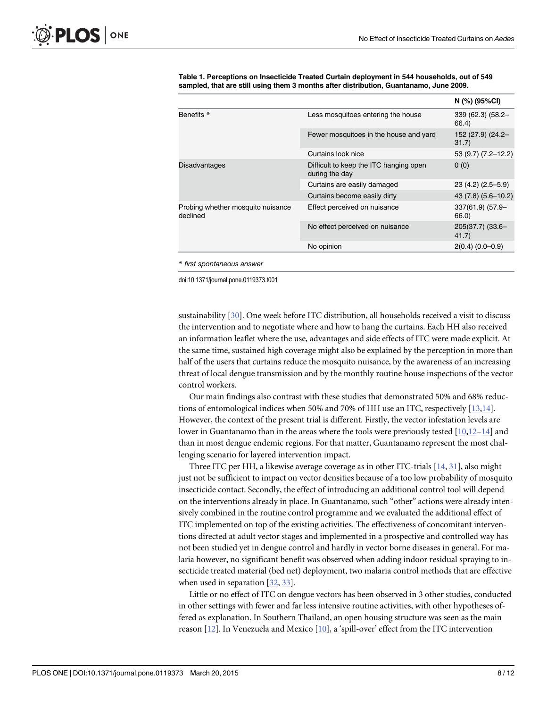|                                               |                                                          | N (%) (95%CI)              |
|-----------------------------------------------|----------------------------------------------------------|----------------------------|
| Benefits *                                    | Less mosquitoes entering the house                       | 339 (62.3) (58.2-<br>66.4) |
|                                               | Fewer mosquitoes in the house and yard                   | 152 (27.9) (24.2-<br>31.7) |
|                                               | Curtains look nice                                       | 53 (9.7) (7.2-12.2)        |
| <b>Disadvantages</b>                          | Difficult to keep the ITC hanging open<br>during the day | 0(0)                       |
|                                               | Curtains are easily damaged                              | $23(4.2)(2.5-5.9)$         |
|                                               | Curtains become easily dirty                             | 43 (7.8) (5.6-10.2)        |
| Probing whether mosquito nuisance<br>declined | Effect perceived on nuisance                             | 337(61.9) (57.9-<br>66.0)  |
|                                               | No effect perceived on nuisance                          | 205(37.7) (33.6-<br>41.7)  |
|                                               | No opinion                                               | $2(0.4) (0.0 - 0.9)$       |
|                                               |                                                          |                            |

<span id="page-7-0"></span>[Table 1.](#page-5-0) Perceptions on Insecticide Treated Curtain deployment in 544 households, out of 549 sampled, that are still using them 3 months after distribution, Guantanamo, June 2009.

\* first spontaneous answer

doi:10.1371/journal.pone.0119373.t001

sustainability [\[30\]](#page-11-0). One week before ITC distribution, all households received a visit to discuss the intervention and to negotiate where and how to hang the curtains. Each HH also received an information leaflet where the use, advantages and side effects of ITC were made explicit. At the same time, sustained high coverage might also be explained by the perception in more than half of the users that curtains reduce the mosquito nuisance, by the awareness of an increasing threat of local dengue transmission and by the monthly routine house inspections of the vector control workers.

Our main findings also contrast with these studies that demonstrated 50% and 68% reductions of entomological indices when 50% and 70% of HH use an ITC, respectively  $[13,14]$  $[13,14]$  $[13,14]$  $[13,14]$  $[13,14]$ . However, the context of the present trial is different. Firstly, the vector infestation levels are lower in Guantanamo than in the areas where the tools were previously tested [[10,12](#page-10-0)–[14\]](#page-10-0) and than in most dengue endemic regions. For that matter, Guantanamo represent the most challenging scenario for layered intervention impact.

Three ITC per HH, a likewise average coverage as in other ITC-trials  $[14, 31]$  $[14, 31]$  $[14, 31]$  $[14, 31]$  $[14, 31]$ , also might just not be sufficient to impact on vector densities because of a too low probability of mosquito insecticide contact. Secondly, the effect of introducing an additional control tool will depend on the interventions already in place. In Guantanamo, such "other" actions were already intensively combined in the routine control programme and we evaluated the additional effect of ITC implemented on top of the existing activities. The effectiveness of concomitant interventions directed at adult vector stages and implemented in a prospective and controlled way has not been studied yet in dengue control and hardly in vector borne diseases in general. For malaria however, no significant benefit was observed when adding indoor residual spraying to insecticide treated material (bed net) deployment, two malaria control methods that are effective when used in separation [[32](#page-11-0), [33](#page-11-0)].

Little or no effect of ITC on dengue vectors has been observed in 3 other studies, conducted in other settings with fewer and far less intensive routine activities, with other hypotheses offered as explanation. In Southern Thailand, an open housing structure was seen as the main reason [[12\]](#page-10-0). In Venezuela and Mexico [\[10\]](#page-10-0), a 'spill-over' effect from the ITC intervention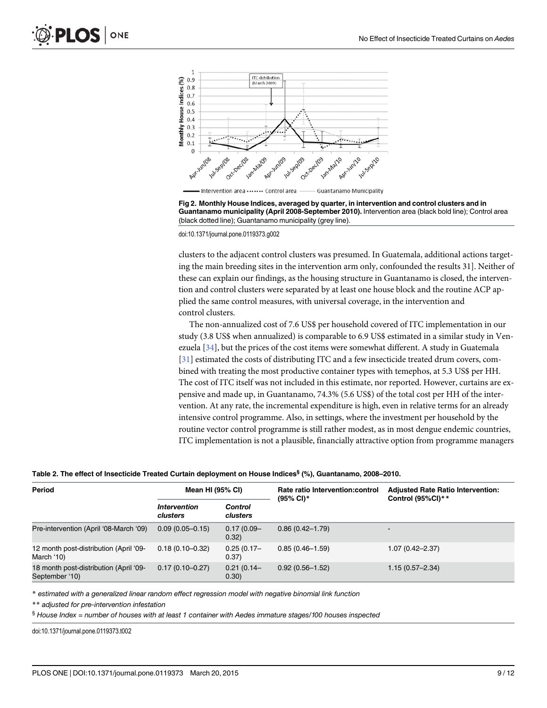<span id="page-8-0"></span>



doi:10.1371/journal.pone.0119373.g002

clusters to the adjacent control clusters was presumed. In Guatemala, additional actions targeting the main breeding sites in the intervention arm only, confounded the results 31]. Neither of these can explain our findings, as the housing structure in Guantanamo is closed, the intervention and control clusters were separated by at least one house block and the routine ACP applied the same control measures, with universal coverage, in the intervention and control clusters.

The non-annualized cost of 7.6 US\$ per household covered of ITC implementation in our study (3.8 US\$ when annualized) is comparable to 6.9 US\$ estimated in a similar study in Venezuela  $[34]$ , but the prices of the cost items were somewhat different. A study in Guatemala [\[31](#page-11-0)] estimated the costs of distributing ITC and a few insecticide treated drum covers, combined with treating the most productive container types with temephos, at 5.3 US\$ per HH. The cost of ITC itself was not included in this estimate, nor reported. However, curtains are expensive and made up, in Guantanamo, 74.3% (5.6 US\$) of the total cost per HH of the intervention. At any rate, the incremental expenditure is high, even in relative terms for an already intensive control programme. Also, in settings, where the investment per household by the routine vector control programme is still rather modest, as in most dengue endemic countries, ITC implementation is not a plausible, financially attractive option from programme managers

| Table 2. The effect of Insecticide Treated Curtain deployment on House Indices <sup>§</sup> (%), Guantanamo, 2008–2010. |  |  |  |
|-------------------------------------------------------------------------------------------------------------------------|--|--|--|
|                                                                                                                         |  |  |  |

| Period                                                   | Mean HI (95% CI)                              |                        | Rate ratio Intervention: control<br>$(95\% \text{ Cl})^*$ | <b>Adjusted Rate Ratio Intervention:</b><br>Control (95%CI)** |
|----------------------------------------------------------|-----------------------------------------------|------------------------|-----------------------------------------------------------|---------------------------------------------------------------|
|                                                          | <i><u><b>Intervention</b></u></i><br>clusters | Control<br>clusters    |                                                           |                                                               |
| Pre-intervention (April '08-March '09)                   | $0.09(0.05 - 0.15)$                           | $0.17(0.09 -$<br>0.32) | $0.86(0.42 - 1.79)$                                       | $\blacksquare$                                                |
| 12 month post-distribution (April '09-<br>March '10)     | $0.18(0.10 - 0.32)$                           | $0.25(0.17 -$<br>0.37) | $0.85(0.46 - 1.59)$                                       | $1.07(0.42 - 2.37)$                                           |
| 18 month post-distribution (April '09-<br>September '10) | $0.17(0.10 - 0.27)$                           | $0.21(0.14 -$<br>0.30) | $0.92(0.56 - 1.52)$                                       | $1.15(0.57 - 2.34)$                                           |

\* estimated with a generalized linear random effect regression model with negative binomial link function

\*\* adjusted for pre-intervention infestation

§ House Index = number of houses with at least 1 container with Aedes immature stages/100 houses inspected

doi:10.1371/journal.pone.0119373.t002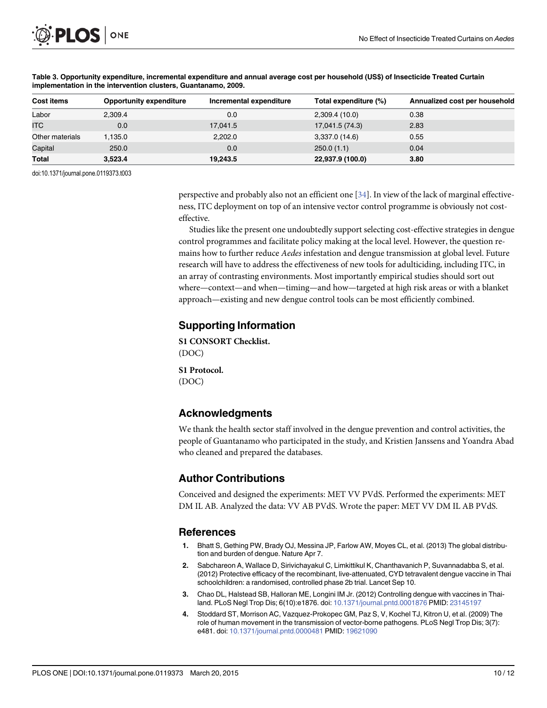<span id="page-9-0"></span>

| Cost items      | <b>Opportunity expenditure</b> | Incremental expenditure | Total expenditure (%) | Annualized cost per household |
|-----------------|--------------------------------|-------------------------|-----------------------|-------------------------------|
| Labor           | 2.309.4                        | 0.0                     | 2,309.4 (10.0)        | 0.38                          |
| <b>ITC</b>      | 0.0                            | 17,041.5                | 17,041.5 (74.3)       | 2.83                          |
| Other materials | 1,135.0                        | 2,202.0                 | 3,337.0 (14.6)        | 0.55                          |
| Capital         | 250.0                          | 0.0                     | 250.0(1.1)            | 0.04                          |
| Total           | 3,523.4                        | 19,243.5                | 22,937.9 (100.0)      | 3.80                          |

#### [Table 3.](#page-5-0) Opportunity expenditure, incremental expenditure and annual average cost per household (US\$) of Insecticide Treated Curtain implementation in the intervention clusters, Guantanamo, 2009.

doi:10.1371/journal.pone.0119373.t003

perspective and probably also not an efficient one [[34](#page-11-0)]. In view of the lack of marginal effectiveness, ITC deployment on top of an intensive vector control programme is obviously not costeffective.

Studies like the present one undoubtedly support selecting cost-effective strategies in dengue control programmes and facilitate policy making at the local level. However, the question remains how to further reduce Aedes infestation and dengue transmission at global level. Future research will have to address the effectiveness of new tools for adulticiding, including ITC, in an array of contrasting environments. Most importantly empirical studies should sort out where—context—and when—timing—and how—targeted at high risk areas or with a blanket approach—existing and new dengue control tools can be most efficiently combined.

#### Supporting Information

[S1 CONSORT Checklist.](http://www.plosone.org/article/fetchSingleRepresentation.action?uri=info:doi/10.1371/journal.pone.0119373.s001) (DOC)

[S1 Protocol.](http://www.plosone.org/article/fetchSingleRepresentation.action?uri=info:doi/10.1371/journal.pone.0119373.s002) (DOC)

## Acknowledgments

We thank the health sector staff involved in the dengue prevention and control activities, the people of Guantanamo who participated in the study, and Kristien Janssens and Yoandra Abad who cleaned and prepared the databases.

# Author Contributions

Conceived and designed the experiments: MET VV PVdS. Performed the experiments: MET DM IL AB. Analyzed the data: VV AB PVdS. Wrote the paper: MET VV DM IL AB PVdS.

#### References

- [1.](#page-1-0) Bhatt S, Gething PW, Brady OJ, Messina JP, Farlow AW, Moyes CL, et al. (2013) The global distribution and burden of dengue. Nature Apr 7.
- [2.](#page-1-0) Sabchareon A, Wallace D, Sirivichayakul C, Limkittikul K, Chanthavanich P, Suvannadabba S, et al. (2012) Protective efficacy of the recombinant, live-attenuated, CYD tetravalent dengue vaccine in Thai schoolchildren: a randomised, controlled phase 2b trial. Lancet Sep 10.
- [3.](#page-1-0) Chao DL, Halstead SB, Halloran ME, Longini IM Jr. (2012) Controlling dengue with vaccines in Thailand. PLoS Negl Trop Dis; 6(10):e1876. doi: [10.1371/journal.pntd.0001876](http://dx.doi.org/10.1371/journal.pntd.0001876) PMID: [23145197](http://www.ncbi.nlm.nih.gov/pubmed/23145197)
- [4.](#page-1-0) Stoddard ST, Morrison AC, Vazquez-Prokopec GM, Paz S, V, Kochel TJ, Kitron U, et al. (2009) The role of human movement in the transmission of vector-borne pathogens. PLoS Negl Trop Dis; 3(7): e481. doi: [10.1371/journal.pntd.0000481](http://dx.doi.org/10.1371/journal.pntd.0000481) PMID: [19621090](http://www.ncbi.nlm.nih.gov/pubmed/19621090)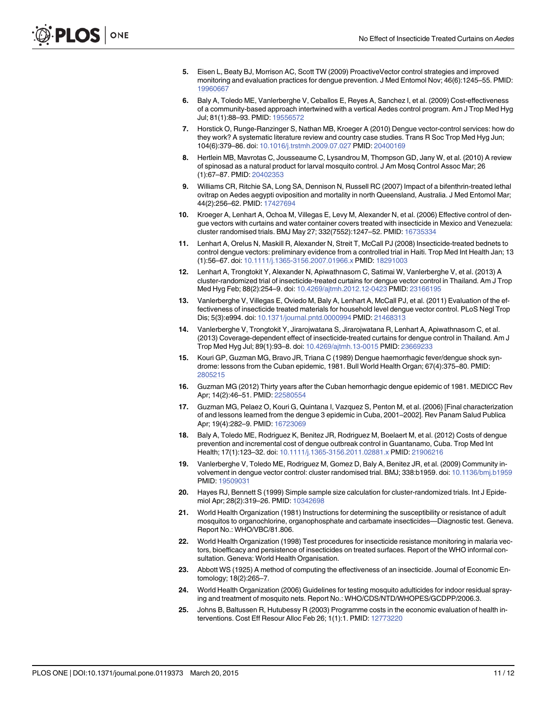- <span id="page-10-0"></span>[5.](#page-1-0) Eisen L, Beaty BJ, Morrison AC, Scott TW (2009) ProactiveVector control strategies and improved monitoring and evaluation practices for dengue prevention. J Med Entomol Nov; 46(6):1245–55. PMID: [19960667](http://www.ncbi.nlm.nih.gov/pubmed/19960667)
- [6.](#page-1-0) Baly A, Toledo ME, Vanlerberghe V, Ceballos E, Reyes A, Sanchez I, et al. (2009) Cost-effectiveness of a community-based approach intertwined with a vertical Aedes control program. Am J Trop Med Hyg Jul; 81(1):88–93. PMID: [19556572](http://www.ncbi.nlm.nih.gov/pubmed/19556572)
- [7.](#page-1-0) Horstick O, Runge-Ranzinger S, Nathan MB, Kroeger A (2010) Dengue vector-control services: how do they work? A systematic literature review and country case studies. Trans R Soc Trop Med Hyg Jun; 104(6):379–86. doi: [10.1016/j.trstmh.2009.07.027](http://dx.doi.org/10.1016/j.trstmh.2009.07.027) PMID: [20400169](http://www.ncbi.nlm.nih.gov/pubmed/20400169)
- [8.](#page-1-0) Hertlein MB, Mavrotas C, Jousseaume C, Lysandrou M, Thompson GD, Jany W, et al. (2010) A review of spinosad as a natural product for larval mosquito control. J Am Mosq Control Assoc Mar; 26 (1):67–87. PMID: [20402353](http://www.ncbi.nlm.nih.gov/pubmed/20402353)
- [9.](#page-1-0) Williams CR, Ritchie SA, Long SA, Dennison N, Russell RC (2007) Impact of a bifenthrin-treated lethal ovitrap on Aedes aegypti oviposition and mortality in north Queensland, Australia. J Med Entomol Mar; 44(2):256–62. PMID: [17427694](http://www.ncbi.nlm.nih.gov/pubmed/17427694)
- [10.](#page-1-0) Kroeger A, Lenhart A, Ochoa M, Villegas E, Levy M, Alexander N, et al. (2006) Effective control of dengue vectors with curtains and water container covers treated with insecticide in Mexico and Venezuela: cluster randomised trials. BMJ May 27; 332(7552):1247–52. PMID: [16735334](http://www.ncbi.nlm.nih.gov/pubmed/16735334)
- 11. Lenhart A, Orelus N, Maskill R, Alexander N, Streit T, McCall PJ (2008) Insecticide-treated bednets to control dengue vectors: preliminary evidence from a controlled trial in Haiti. Trop Med Int Health Jan; 13 (1):56–67. doi: [10.1111/j.1365-3156.2007.01966.x](http://dx.doi.org/10.1111/j.1365-3156.2007.01966.x) PMID: [18291003](http://www.ncbi.nlm.nih.gov/pubmed/18291003)
- [12.](#page-1-0) Lenhart A, Trongtokit Y, Alexander N, Apiwathnasorn C, Satimai W, Vanlerberghe V, et al. (2013) A cluster-randomized trial of insecticide-treated curtains for dengue vector control in Thailand. Am J Trop Med Hyg Feb; 88(2):254–9. doi: [10.4269/ajtmh.2012.12-0423](http://dx.doi.org/10.4269/ajtmh.2012.12-0423) PMID: [23166195](http://www.ncbi.nlm.nih.gov/pubmed/23166195)
- [13.](#page-6-0) Vanlerberghe V, Villegas E, Oviedo M, Baly A, Lenhart A, McCall PJ, et al. (2011) Evaluation of the effectiveness of insecticide treated materials for household level dengue vector control. PLoS Negl Trop Dis; 5(3):e994. doi: [10.1371/journal.pntd.0000994](http://dx.doi.org/10.1371/journal.pntd.0000994) PMID: [21468313](http://www.ncbi.nlm.nih.gov/pubmed/21468313)
- [14.](#page-1-0) Vanlerberghe V, Trongtokit Y, Jirarojwatana S, Jirarojwatana R, Lenhart A, Apiwathnasorn C, et al. (2013) Coverage-dependent effect of insecticide-treated curtains for dengue control in Thailand. Am J Trop Med Hyg Jul; 89(1):93–8. doi: [10.4269/ajtmh.13-0015](http://dx.doi.org/10.4269/ajtmh.13-0015) PMID: [23669233](http://www.ncbi.nlm.nih.gov/pubmed/23669233)
- [15.](#page-1-0) Kouri GP, Guzman MG, Bravo JR, Triana C (1989) Dengue haemorrhagic fever/dengue shock syndrome: lessons from the Cuban epidemic, 1981. Bull World Health Organ; 67(4):375–80. PMID: [2805215](http://www.ncbi.nlm.nih.gov/pubmed/2805215)
- [16.](#page-1-0) Guzman MG (2012) Thirty years after the Cuban hemorrhagic dengue epidemic of 1981. MEDICC Rev Apr; 14(2):46–51. PMID: [22580554](http://www.ncbi.nlm.nih.gov/pubmed/22580554)
- [17.](#page-2-0) Guzman MG, Pelaez O, Kouri G, Quintana I, Vazquez S, Penton M, et al. (2006) [Final characterization of and lessons learned from the dengue 3 epidemic in Cuba, 2001–2002]. Rev Panam Salud Publica Apr; 19(4):282-9. PMID: [16723069](http://www.ncbi.nlm.nih.gov/pubmed/16723069)
- [18.](#page-2-0) Baly A, Toledo ME, Rodriguez K, Benitez JR, Rodriguez M, Boelaert M, et al. (2012) Costs of dengue prevention and incremental cost of dengue outbreak control in Guantanamo, Cuba. Trop Med Int Health; 17(1):123–32. doi: [10.1111/j.1365-3156.2011.02881.x](http://dx.doi.org/10.1111/j.1365-3156.2011.02881.x) PMID: [21906216](http://www.ncbi.nlm.nih.gov/pubmed/21906216)
- [19.](#page-2-0) Vanlerberghe V, Toledo ME, Rodriguez M, Gomez D, Baly A, Benitez JR, et al. (2009) Community involvement in dengue vector control: cluster randomised trial. BMJ; 338:b1959. doi: [10.1136/bmj.b1959](http://dx.doi.org/10.1136/bmj.b1959) PMID: [19509031](http://www.ncbi.nlm.nih.gov/pubmed/19509031)
- [20.](#page-2-0) Hayes RJ, Bennett S (1999) Simple sample size calculation for cluster-randomized trials. Int J Epidemiol Apr; 28(2):319–26. PMID: [10342698](http://www.ncbi.nlm.nih.gov/pubmed/10342698)
- [21.](#page-3-0) World Health Organization (1981) Instructions for determining the susceptibility or resistance of adult mosquitos to organochlorine, organophosphate and carbamate insecticides—Diagnostic test. Geneva. Report No.: WHO/VBC/81.806.
- [22.](#page-3-0) World Health Organization (1998) Test procedures for insecticide resistance monitoring in malaria vectors, bioefficacy and persistence of insecticides on treated surfaces. Report of the WHO informal consultation. Geneva: World Health Organisation.
- [23.](#page-3-0) Abbott WS (1925) A method of computing the effectiveness of an insecticide. Journal of Economic Entomology; 18(2):265–7.
- [24.](#page-3-0) World Health Organization (2006) Guidelines for testing mosquito adulticides for indoor residual spraying and treatment of mosquito nets. Report No.: WHO/CDS/NTD/WHOPES/GCDPP/2006.3.
- [25.](#page-4-0) Johns B, Baltussen R, Hutubessy R (2003) Programme costs in the economic evaluation of health interventions. Cost Eff Resour Alloc Feb 26; 1(1):1. PMID: [12773220](http://www.ncbi.nlm.nih.gov/pubmed/12773220)